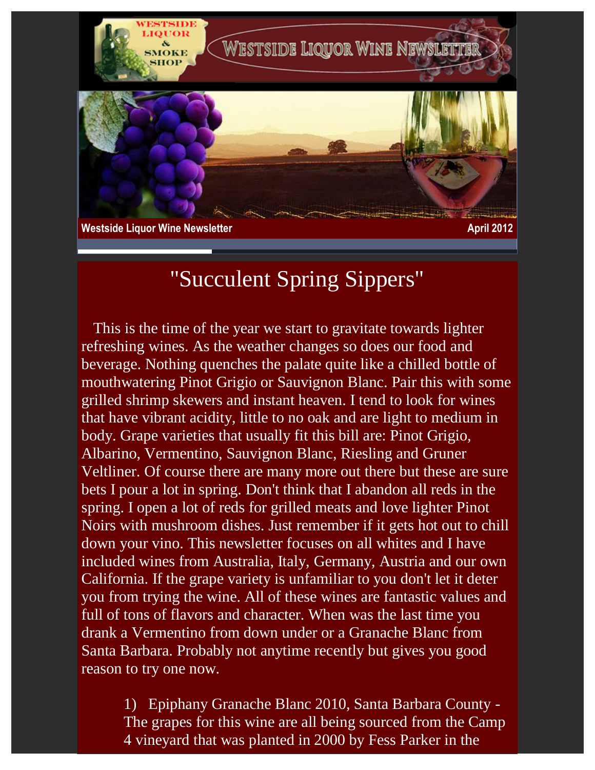

**Westside Liquor Wine Newsletter April 2012** 

## "Succulent Spring Sippers"

 This is the time of the year we start to gravitate towards lighter refreshing wines. As the weather changes so does our food and beverage. Nothing quenches the palate quite like a chilled bottle of mouthwatering Pinot Grigio or Sauvignon Blanc. Pair this with some grilled shrimp skewers and instant heaven. I tend to look for wines that have vibrant acidity, little to no oak and are light to medium in body. Grape varieties that usually fit this bill are: Pinot Grigio, Albarino, Vermentino, Sauvignon Blanc, Riesling and Gruner Veltliner. Of course there are many more out there but these are sure bets I pour a lot in spring. Don't think that I abandon all reds in the spring. I open a lot of reds for grilled meats and love lighter Pinot Noirs with mushroom dishes. Just remember if it gets hot out to chill down your vino. This newsletter focuses on all whites and I have included wines from Australia, Italy, Germany, Austria and our own California. If the grape variety is unfamiliar to you don't let it deter you from trying the wine. All of these wines are fantastic values and full of tons of flavors and character. When was the last time you drank a Vermentino from down under or a Granache Blanc from Santa Barbara. Probably not anytime recently but gives you good reason to try one now.

1) Epiphany Granache Blanc 2010, Santa Barbara County - The grapes for this wine are all being sourced from the Camp 4 vineyard that was planted in 2000 by Fess Parker in the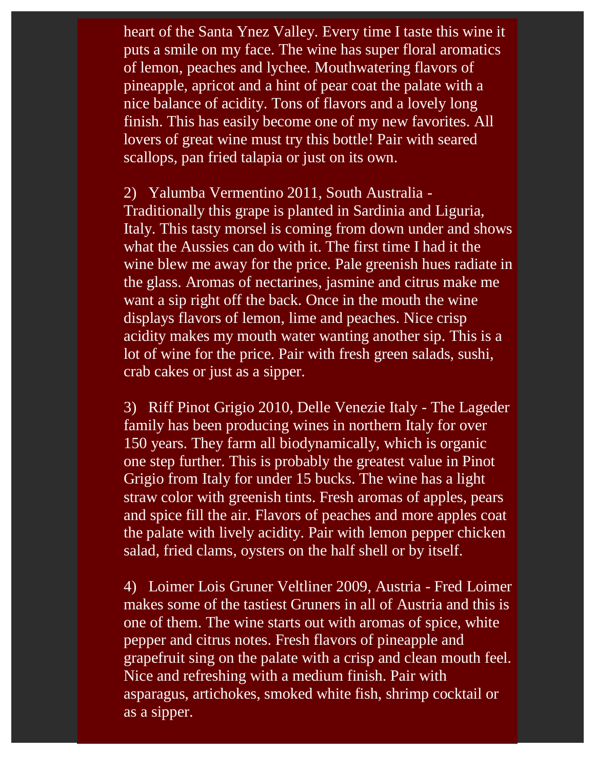heart of the Santa Ynez Valley. Every time I taste this wine it puts a smile on my face. The wine has super floral aromatics of lemon, peaches and lychee. Mouthwatering flavors of pineapple, apricot and a hint of pear coat the palate with a nice balance of acidity. Tons of flavors and a lovely long finish. This has easily become one of my new favorites. All lovers of great wine must try this bottle! Pair with seared scallops, pan fried talapia or just on its own.

2) Yalumba Vermentino 2011, South Australia - Traditionally this grape is planted in Sardinia and Liguria, Italy. This tasty morsel is coming from down under and shows what the Aussies can do with it. The first time I had it the wine blew me away for the price. Pale greenish hues radiate in the glass. Aromas of nectarines, jasmine and citrus make me want a sip right off the back. Once in the mouth the wine displays flavors of lemon, lime and peaches. Nice crisp acidity makes my mouth water wanting another sip. This is a lot of wine for the price. Pair with fresh green salads, sushi, crab cakes or just as a sipper.

3) Riff Pinot Grigio 2010, Delle Venezie Italy - The Lageder family has been producing wines in northern Italy for over 150 years. They farm all biodynamically, which is organic one step further. This is probably the greatest value in Pinot Grigio from Italy for under 15 bucks. The wine has a light straw color with greenish tints. Fresh aromas of apples, pears and spice fill the air. Flavors of peaches and more apples coat the palate with lively acidity. Pair with lemon pepper chicken salad, fried clams, oysters on the half shell or by itself.

4) Loimer Lois Gruner Veltliner 2009, Austria - Fred Loimer makes some of the tastiest Gruners in all of Austria and this is one of them. The wine starts out with aromas of spice, white pepper and citrus notes. Fresh flavors of pineapple and grapefruit sing on the palate with a crisp and clean mouth feel. Nice and refreshing with a medium finish. Pair with asparagus, artichokes, smoked white fish, shrimp cocktail or as a sipper.